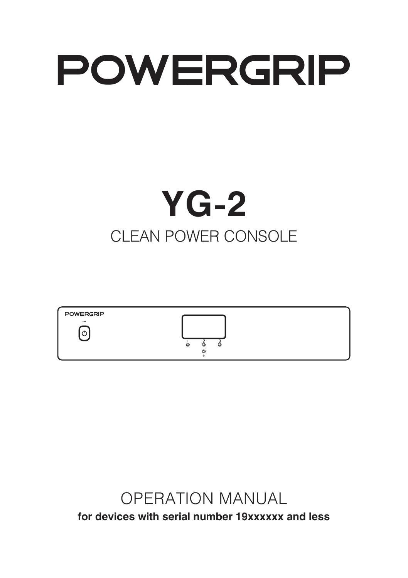# **POWERGRIP**

## **YG-2** CI FAN POWER CONSOLE



## OPERATION MANUAL **for devices with serial number 19xxxxxx and less**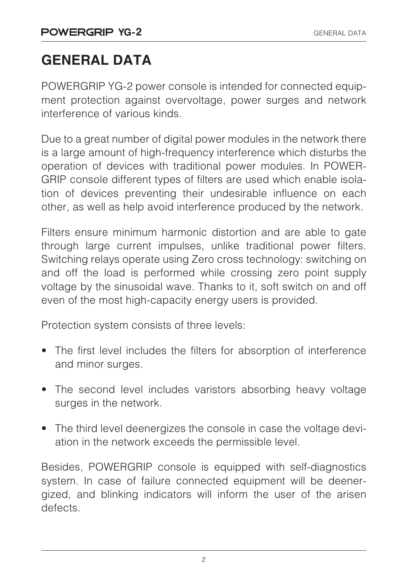## **GENERAL DATA**

POWERGRIP YG-2 power console is intended for connected equipment protection against overvoltage, power surges and network interference of various kinds.

Due to a great number of digital power modules in the network there is a large amount of high-frequency interference which disturbs the operation of devices with traditional power modules. In POWER-GRIP console different types of filters are used which enable isolation of devices preventing their undesirable influence on each other, as well as help avoid interference produced by the network.

Filters ensure minimum harmonic distortion and are able to gate through large current impulses, unlike traditional power filters. Switching relays operate using Zero cross technology: switching on and off the load is performed while crossing zero point supply voltage by the sinusoidal wave. Thanks to it, soft switch on and off even of the most high-capacity energy users is provided.

Protection system consists of three levels:

- The first level includes the filters for absorption of interference and minor surges.
- The second level includes varistors absorbing heavy voltage surges in the network.
- The third level deenergizes the console in case the voltage deviation in the network exceeds the permissible level.

Besides, POWERGRIP console is equipped with self-diagnostics system. In case of failure connected equipment will be deenergized, and blinking indicators will inform the user of the arisen defects.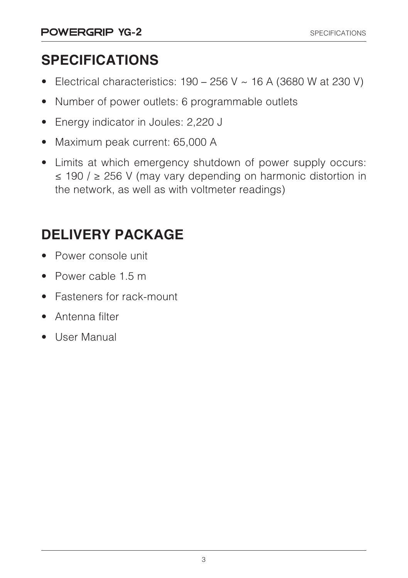## **SPECIFICATIONS**

- Electrical characteristics:  $190 256$  V  $\sim$  16 A (3680 W at 230 V)
- Number of power outlets: 6 programmable outlets
- Energy indicator in Joules: 2,220 J
- Maximum peak current: 65,000 A
- Limits at which emergency shutdown of power supply occurs: ≤ 190 / ≥ 256 V (may vary depending on harmonic distortion in the network, as well as with voltmeter readings)

## **DELIVERY PACKAGE**

- Power console unit
- Power cable 1.5 m
- Fasteners for rack-mount
- Antenna filter
- User Manual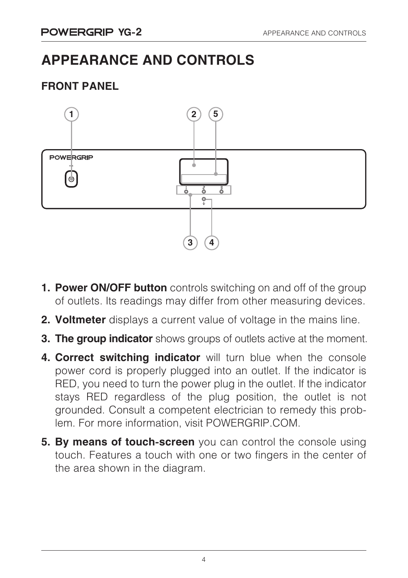### **APPEARANCE AND CONTROLS**

#### **FRONT PANEL**



- **1. Power ON/OFF button** controls switching on and off of the group of outlets. Its readings may differ from other measuring devices.
- **2. Voltmeter** displays a current value of voltage in the mains line.
- **3. The group indicator** shows groups of outlets active at the moment.
- **4. Correct switching indicator** will turn blue when the console power cord is properly plugged into an outlet. If the indicator is RED, you need to turn the power plug in the outlet. If the indicator stays RED regardless of the plug position, the outlet is not grounded. Consult a competent electrician to remedy this problem. For more information, visit POWERGRIP.COM.
- **5. By means of touch-screen** you can control the console using touch. Features a touch with one or two fingers in the center of the area shown in the diagram.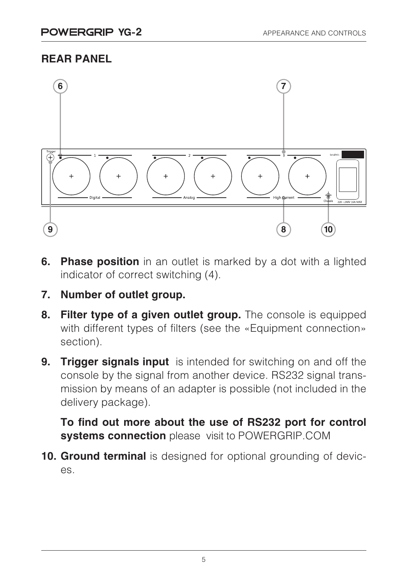#### **REAR PANEL**



- **6. Phase position** in an outlet is marked by a dot with a lighted indicator of correct switching (4).
- **7. Number of outlet group.**
- **8. Filter type of a given outlet group.** The console is equipped with different types of filters (see the «Equipment connection» section).
- **9. Trigger signals input** is intended for switching on and off the console by the signal from another device. RS232 signal transmission by means of an adapter is possible (not included in the delivery package).

**To find out more about the use of RS232 port for control systems connection** please visit to POWERGRIP.COM

**10. Ground terminal** is designed for optional grounding of devices.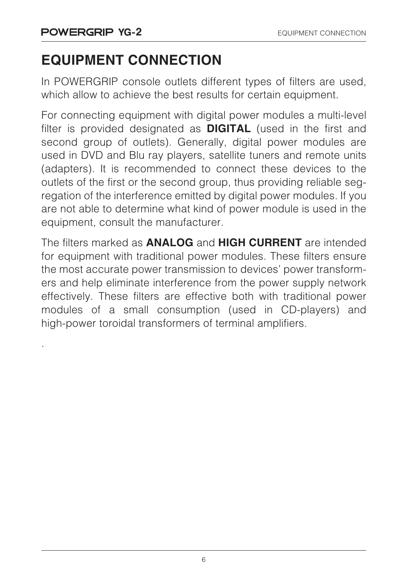.

## **EQUIPMENT CONNECTION**

In POWERGRIP console outlets different types of filters are used, which allow to achieve the best results for certain equipment.

For connecting equipment with digital power modules a multi-level filter is provided designated as **DIGITAL** (used in the first and second group of outlets). Generally, digital power modules are used in DVD and Blu ray players, satellite tuners and remote units (adapters). It is recommended to connect these devices to the outlets of the first or the second group, thus providing reliable segregation of the interference emitted by digital power modules. If you are not able to determine what kind of power module is used in the equipment, consult the manufacturer.

The filters marked as **ANALOG** and **HIGH CURRENT** are intended for equipment with traditional power modules. These filters ensure the most accurate power transmission to devices' power transformers and help eliminate interference from the power supply network effectively. These filters are effective both with traditional power modules of a small consumption (used in CD-players) and high-power toroidal transformers of terminal amplifiers.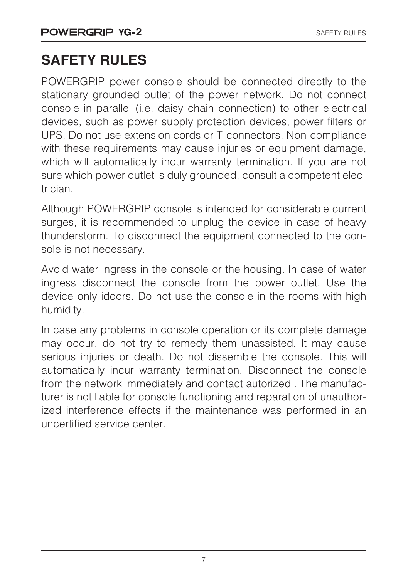## **SAFETY RULES**

POWERGRIP power console should be connected directly to the stationary grounded outlet of the power network. Do not connect console in parallel (i.e. daisy chain connection) to other electrical devices, such as power supply protection devices, power filters or UPS. Do not use extension cords or T-connectors. Non-compliance with these requirements may cause injuries or equipment damage, which will automatically incur warranty termination. If you are not sure which power outlet is duly grounded, consult a competent electrician.

Although POWERGRIP console is intended for considerable current surges, it is recommended to unplug the device in case of heavy thunderstorm. To disconnect the equipment connected to the console is not necessary.

Avoid water ingress in the console or the housing. In case of water ingress disconnect the console from the power outlet. Use the device only idoors. Do not use the console in the rooms with high humidity.

In case any problems in console operation or its complete damage may occur, do not try to remedy them unassisted. It may cause serious injuries or death. Do not dissemble the console. This will automatically incur warranty termination. Disconnect the console from the network immediately and contact autorized . The manufacturer is not liable for console functioning and reparation of unauthorized interference effects if the maintenance was performed in an uncertified service center.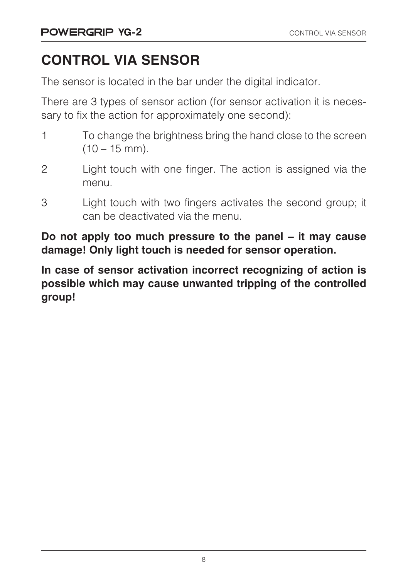## **CONTROL VIA SENSOR**

The sensor is located in the bar under the digital indicator.

There are 3 types of sensor action (for sensor activation it is necessary to fix the action for approximately one second):

- 1 To change the brightness bring the hand close to the screen  $(10 - 15$  mm).
- 2 Light touch with one finger. The action is assigned via the menu.
- 3 Light touch with two fingers activates the second group; it can be deactivated via the menu.

**Do not apply too much pressure to the panel – it may cause damage! Only light touch is needed for sensor operation.**

**In case of sensor activation incorrect recognizing of action is possible which may cause unwanted tripping of the controlled group!**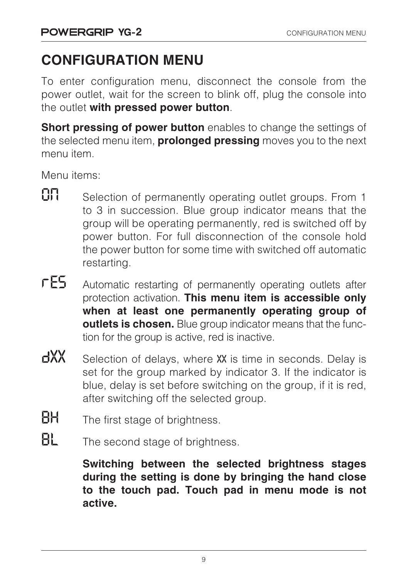## **CONFIGURATION MENU**

To enter configuration menu, disconnect the console from the power outlet, wait for the screen to blink off, plug the console into the outlet **with pressed power button**.

**Short pressing of power button** enables to change the settings of the selected menu item, **prolonged pressing** moves you to the next menu item.

Menu items:

- $\mathbf{0}$  Selection of permanently operating outlet groups. From 1 to 3 in succession. Blue group indicator means that the group will be operating permanently, red is switched off by power button. For full disconnection of the console hold the power button for some time with switched off automatic restarting.
- $\sqrt{ES}$  Automatic restarting of permanently operating outlets after protection activation. **This menu item is accessible only when at least one permanently operating group of outlets is chosen.** Blue group indicator means that the function for the group is active, red is inactive.
- $\frac{dX}{X}$  Selection of delays, where XX is time in seconds. Delay is set for the group marked by indicator 3. If the indicator is blue, delay is set before switching on the group, if it is red, after switching off the selected group.
- **BH** The first stage of brightness.
- $BL$  The second stage of brightness.

**Switching between the selected brightness stages during the setting is done by bringing the hand close to the touch pad. Touch pad in menu mode is not active.**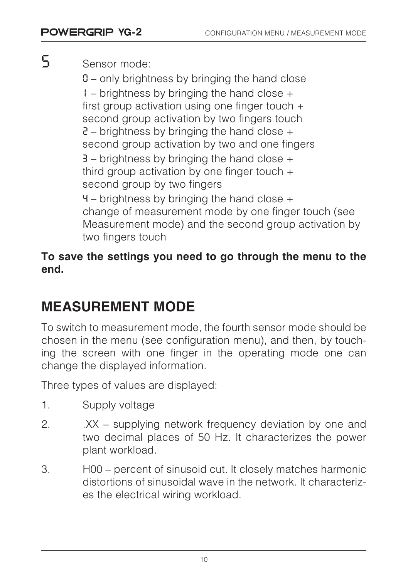S Sensor mode:

0 – only brightness by bringing the hand close 1 – brightness by bringing the hand close + first group activation using one finger touch + second group activation by two fingers touch  $2$  – brightness by bringing the hand close  $+$ second group activation by two and one fingers  $3$  – brightness by bringing the hand close  $+$ third group activation by one finger touch + second group by two fingers  $4$  – brightness by bringing the hand close  $+$ change of measurement mode by one finger touch (see Measurement mode) and the second group activation by two fingers touch

#### **To save the settings you need to go through the menu to the end.**

## **MEASUREMENT MODE**

To switch to measurement mode, the fourth sensor mode should be chosen in the menu (see configuration menu), and then, by touching the screen with one finger in the operating mode one can change the displayed information.

Three types of values are displayed:

- 1. Supply voltage
- 2. XX supplying network frequency deviation by one and two decimal places of 50 Hz. It characterizes the power plant workload.
- 3. H00 percent of sinusoid cut. It closely matches harmonic distortions of sinusoidal wave in the network. It characterizes the electrical wiring workload.